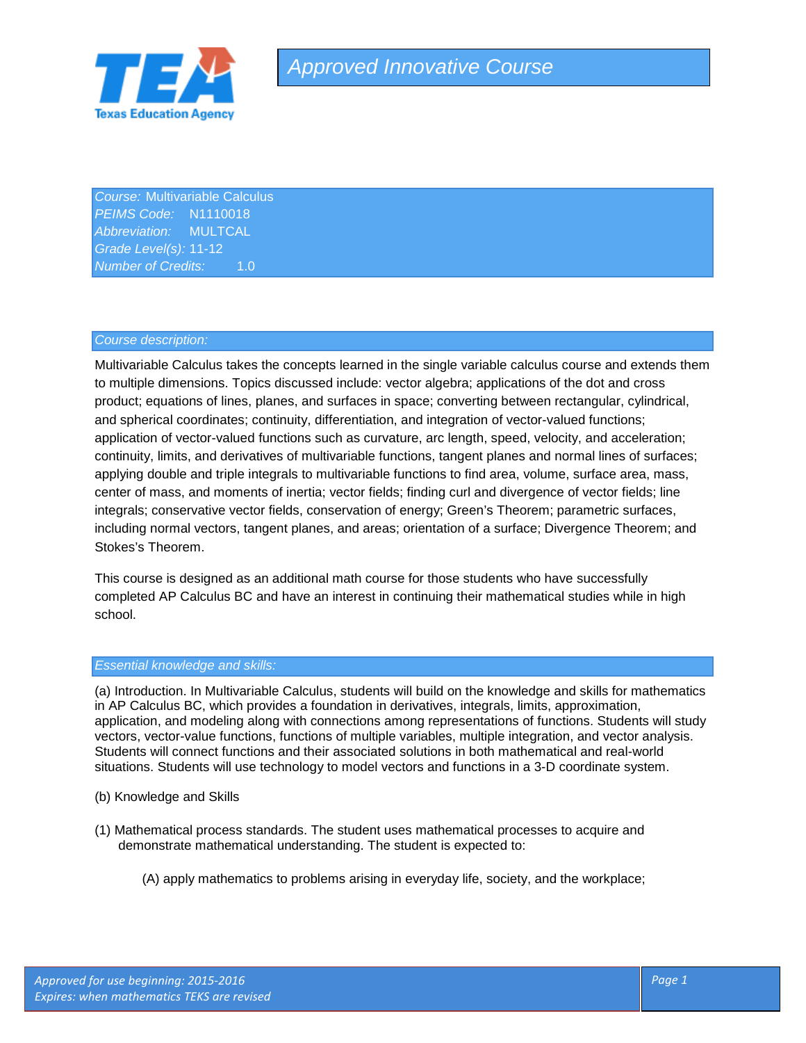

*Course:* Multivariable Calculus *PEIMS Code:* N1110018 *Abbreviation:* MULTCAL *Grade Level(s):* 11-12 *Number of Credits:* 1.0

### *Course description:*

Multivariable Calculus takes the concepts learned in the single variable calculus course and extends them to multiple dimensions. Topics discussed include: vector algebra; applications of the dot and cross product; equations of lines, planes, and surfaces in space; converting between rectangular, cylindrical, and spherical coordinates; continuity, differentiation, and integration of vector-valued functions; application of vector-valued functions such as curvature, arc length, speed, velocity, and acceleration; continuity, limits, and derivatives of multivariable functions, tangent planes and normal lines of surfaces; applying double and triple integrals to multivariable functions to find area, volume, surface area, mass, center of mass, and moments of inertia; vector fields; finding curl and divergence of vector fields; line integrals; conservative vector fields, conservation of energy; Green's Theorem; parametric surfaces, including normal vectors, tangent planes, and areas; orientation of a surface; Divergence Theorem; and Stokes's Theorem.

This course is designed as an additional math course for those students who have successfully completed AP Calculus BC and have an interest in continuing their mathematical studies while in high school.

### *Essential knowledge and skills:*

(a) Introduction. In Multivariable Calculus, students will build on the knowledge and skills for mathematics in AP Calculus BC, which provides a foundation in derivatives, integrals, limits, approximation, application, and modeling along with connections among representations of functions. Students will study vectors, vector-value functions, functions of multiple variables, multiple integration, and vector analysis. Students will connect functions and their associated solutions in both mathematical and real-world situations. Students will use technology to model vectors and functions in a 3-D coordinate system.

- (b) Knowledge and Skills
- (1) Mathematical process standards. The student uses mathematical processes to acquire and demonstrate mathematical understanding. The student is expected to:
	- (A) apply mathematics to problems arising in everyday life, society, and the workplace;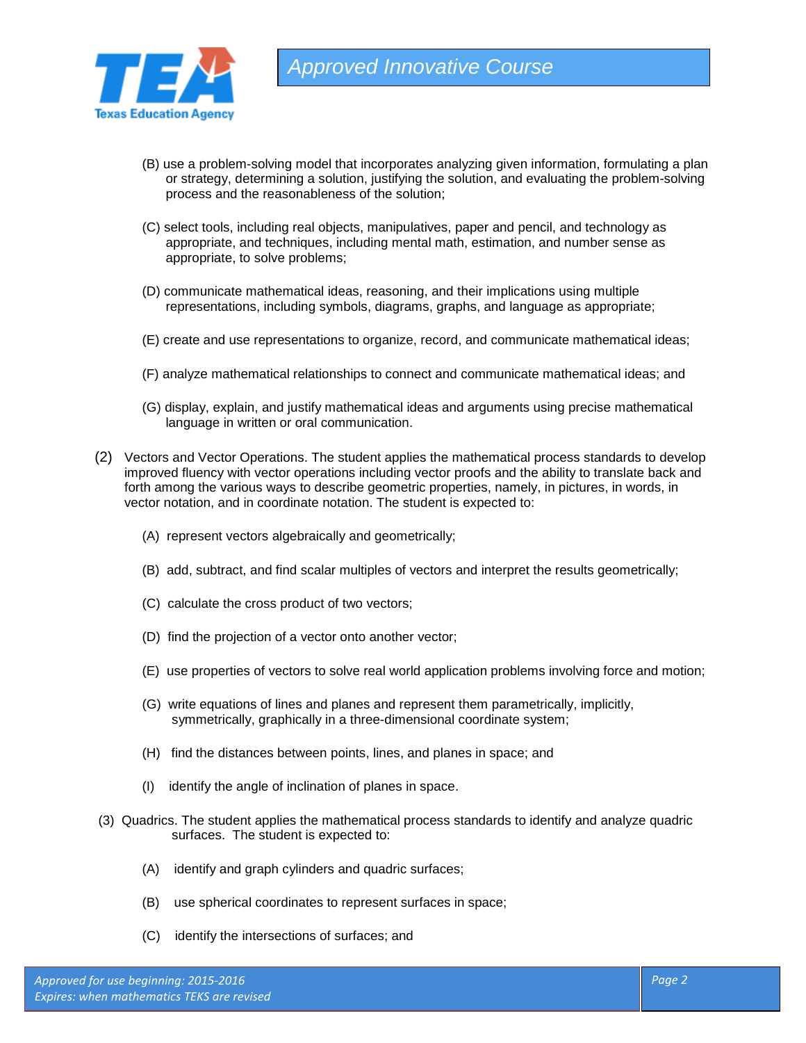

- (B) use a problem-solving model that incorporates analyzing given information, formulating a plan or strategy, determining a solution, justifying the solution, and evaluating the problem-solving process and the reasonableness of the solution;
- (C) select tools, including real objects, manipulatives, paper and pencil, and technology as appropriate, and techniques, including mental math, estimation, and number sense as appropriate, to solve problems;
- (D) communicate mathematical ideas, reasoning, and their implications using multiple representations, including symbols, diagrams, graphs, and language as appropriate;
- (E) create and use representations to organize, record, and communicate mathematical ideas;
- (F) analyze mathematical relationships to connect and communicate mathematical ideas; and
- (G) display, explain, and justify mathematical ideas and arguments using precise mathematical language in written or oral communication.
- (2) Vectors and Vector Operations. The student applies the mathematical process standards to develop improved fluency with vector operations including vector proofs and the ability to translate back and forth among the various ways to describe geometric properties, namely, in pictures, in words, in vector notation, and in coordinate notation. The student is expected to:
	- (A) represent vectors algebraically and geometrically;
	- (B) add, subtract, and find scalar multiples of vectors and interpret the results geometrically;
	- (C) calculate the cross product of two vectors;
	- (D) find the projection of a vector onto another vector;
	- (E) use properties of vectors to solve real world application problems involving force and motion;
	- (G) write equations of lines and planes and represent them parametrically, implicitly, symmetrically, graphically in a three-dimensional coordinate system;
	- (H) find the distances between points, lines, and planes in space; and
	- (I) identify the angle of inclination of planes in space.
- (3) Quadrics. The student applies the mathematical process standards to identify and analyze quadric surfaces. The student is expected to:
	- (A) identify and graph cylinders and quadric surfaces;
	- (B) use spherical coordinates to represent surfaces in space;
	- (C) identify the intersections of surfaces; and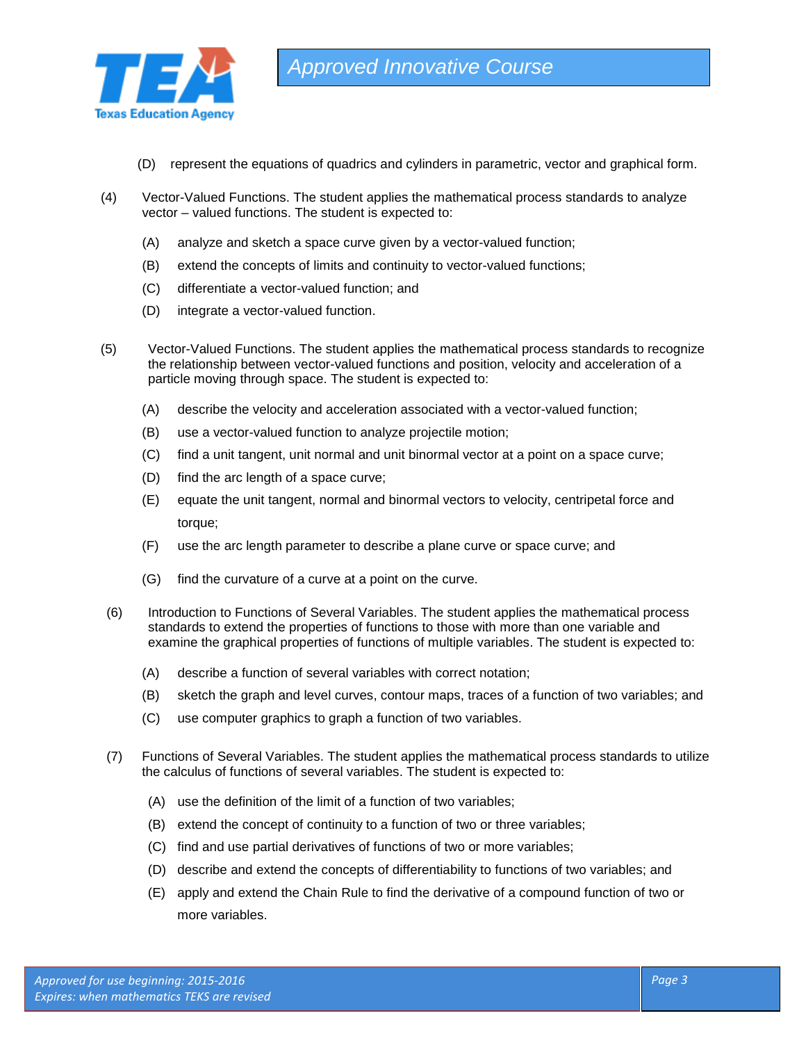

- (D) represent the equations of quadrics and cylinders in parametric, vector and graphical form.
- (4) Vector-Valued Functions. The student applies the mathematical process standards to analyze vector – valued functions. The student is expected to:
	- (A) analyze and sketch a space curve given by a vector-valued function;
	- (B) extend the concepts of limits and continuity to vector-valued functions;
	- (C) differentiate a vector-valued function; and
	- (D) integrate a vector-valued function.
- (5) Vector-Valued Functions. The student applies the mathematical process standards to recognize the relationship between vector-valued functions and position, velocity and acceleration of a particle moving through space. The student is expected to:
	- (A) describe the velocity and acceleration associated with a vector-valued function;
	- (B) use a vector-valued function to analyze projectile motion;
	- (C) find a unit tangent, unit normal and unit binormal vector at a point on a space curve;
	- (D) find the arc length of a space curve;
	- (E) equate the unit tangent, normal and binormal vectors to velocity, centripetal force and torque;
	- (F) use the arc length parameter to describe a plane curve or space curve; and
	- (G) find the curvature of a curve at a point on the curve.
- (6) Introduction to Functions of Several Variables. The student applies the mathematical process standards to extend the properties of functions to those with more than one variable and examine the graphical properties of functions of multiple variables. The student is expected to:
	- (A) describe a function of several variables with correct notation;
	- (B) sketch the graph and level curves, contour maps, traces of a function of two variables; and
	- (C) use computer graphics to graph a function of two variables.
- (7) Functions of Several Variables. The student applies the mathematical process standards to utilize the calculus of functions of several variables. The student is expected to:
	- (A) use the definition of the limit of a function of two variables;
	- (B) extend the concept of continuity to a function of two or three variables;
	- (C) find and use partial derivatives of functions of two or more variables;
	- (D) describe and extend the concepts of differentiability to functions of two variables; and
	- (E) apply and extend the Chain Rule to find the derivative of a compound function of two or more variables.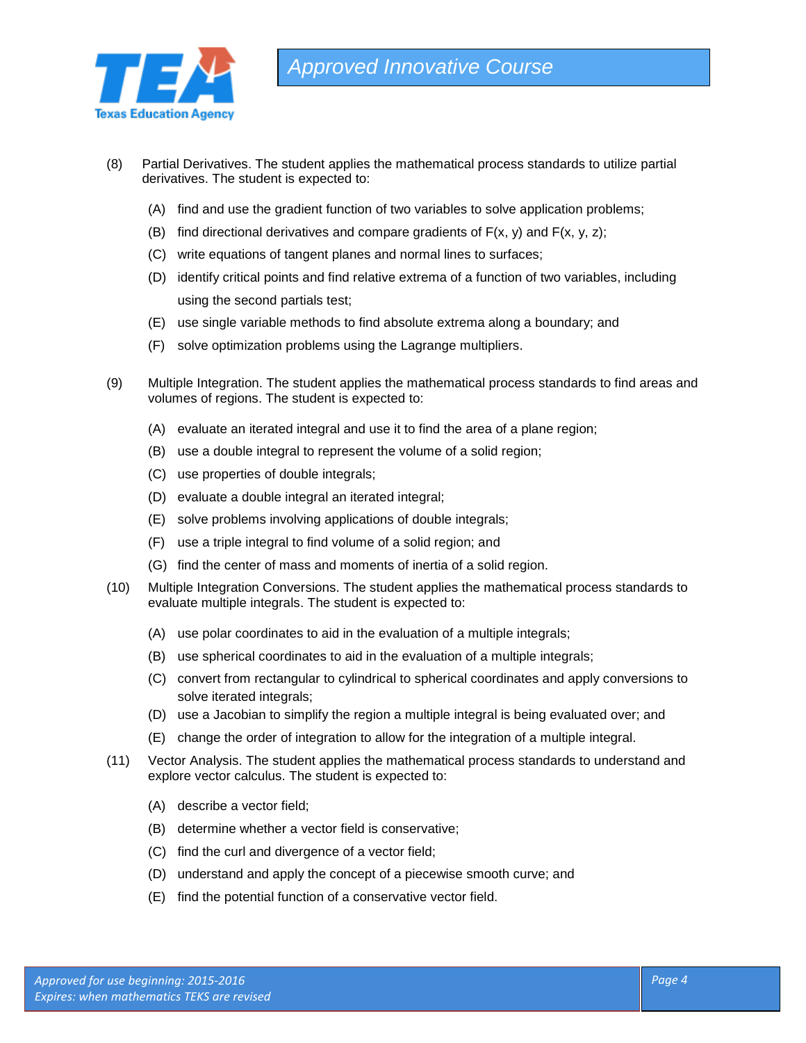

- (8) Partial Derivatives. The student applies the mathematical process standards to utilize partial derivatives. The student is expected to:
	- (A) find and use the gradient function of two variables to solve application problems;
	- (B) find directional derivatives and compare gradients of  $F(x, y)$  and  $F(x, y, z)$ ;
	- (C) write equations of tangent planes and normal lines to surfaces;
	- (D) identify critical points and find relative extrema of a function of two variables, including using the second partials test;
	- (E) use single variable methods to find absolute extrema along a boundary; and
	- (F) solve optimization problems using the Lagrange multipliers.
- (9) Multiple Integration. The student applies the mathematical process standards to find areas and volumes of regions. The student is expected to:
	- (A) evaluate an iterated integral and use it to find the area of a plane region;
	- (B) use a double integral to represent the volume of a solid region;
	- (C) use properties of double integrals;
	- (D) evaluate a double integral an iterated integral;
	- (E) solve problems involving applications of double integrals;
	- (F) use a triple integral to find volume of a solid region; and
	- (G) find the center of mass and moments of inertia of a solid region.
- (10) Multiple Integration Conversions. The student applies the mathematical process standards to evaluate multiple integrals. The student is expected to:
	- (A) use polar coordinates to aid in the evaluation of a multiple integrals;
	- (B) use spherical coordinates to aid in the evaluation of a multiple integrals;
	- (C) convert from rectangular to cylindrical to spherical coordinates and apply conversions to solve iterated integrals;
	- (D) use a Jacobian to simplify the region a multiple integral is being evaluated over; and
	- (E) change the order of integration to allow for the integration of a multiple integral.
- (11) Vector Analysis. The student applies the mathematical process standards to understand and explore vector calculus. The student is expected to:
	- (A) describe a vector field;
	- (B) determine whether a vector field is conservative;
	- (C) find the curl and divergence of a vector field;
	- (D) understand and apply the concept of a piecewise smooth curve; and
	- (E) find the potential function of a conservative vector field.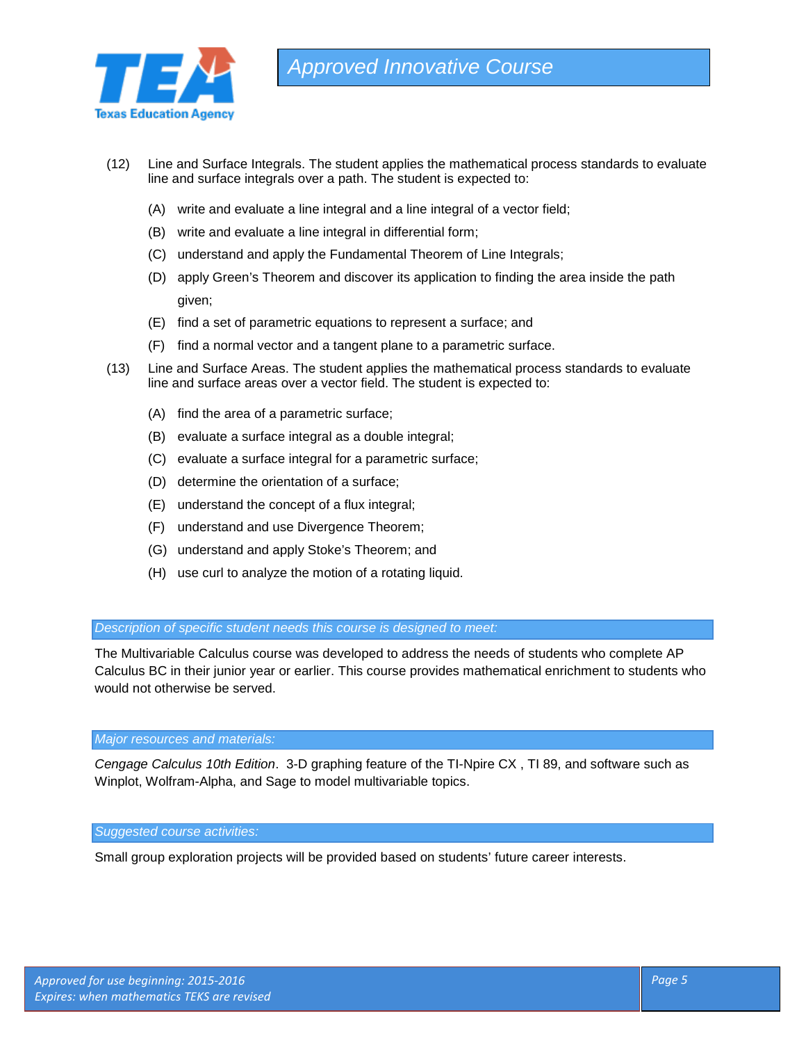

- (12) Line and Surface Integrals. The student applies the mathematical process standards to evaluate line and surface integrals over a path. The student is expected to:
	- (A) write and evaluate a line integral and a line integral of a vector field;
	- (B) write and evaluate a line integral in differential form;
	- (C) understand and apply the Fundamental Theorem of Line Integrals;
	- (D) apply Green's Theorem and discover its application to finding the area inside the path given;
	- (E) find a set of parametric equations to represent a surface; and
	- (F) find a normal vector and a tangent plane to a parametric surface.
- (13) Line and Surface Areas. The student applies the mathematical process standards to evaluate line and surface areas over a vector field. The student is expected to:
	- (A) find the area of a parametric surface;
	- (B) evaluate a surface integral as a double integral;
	- (C) evaluate a surface integral for a parametric surface;
	- (D) determine the orientation of a surface;
	- (E) understand the concept of a flux integral;
	- (F) understand and use Divergence Theorem;
	- (G) understand and apply Stoke's Theorem; and
	- (H) use curl to analyze the motion of a rotating liquid.

#### *Description of specific student needs this course is designed to meet:*

The Multivariable Calculus course was developed to address the needs of students who complete AP Calculus BC in their junior year or earlier. This course provides mathematical enrichment to students who would not otherwise be served.

# *Major resources and materials:*

*Cengage Calculus 10th Edition*. 3-D graphing feature of the TI-Npire CX , TI 89, and software such as Winplot, Wolfram-Alpha, and Sage to model multivariable topics.

### *Suggested course activities:*

Small group exploration projects will be provided based on students' future career interests.